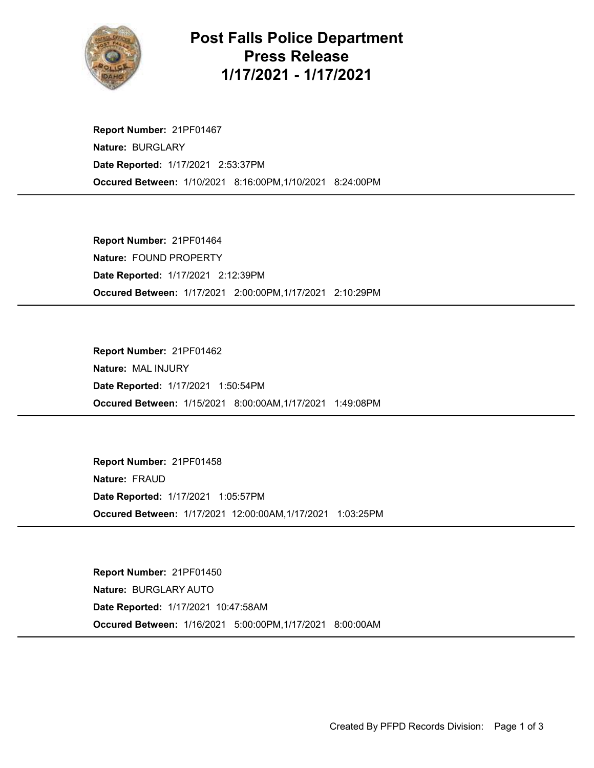

## Post Falls Police Department Press Release 1/17/2021 - 1/17/2021

Occured Between: 1/10/2021 8:16:00PM,1/10/2021 8:24:00PM Report Number: 21PF01467 Nature: BURGLARY Date Reported: 1/17/2021 2:53:37PM

Occured Between: 1/17/2021 2:00:00PM,1/17/2021 2:10:29PM Report Number: 21PF01464 Nature: FOUND PROPERTY Date Reported: 1/17/2021 2:12:39PM

Occured Between: 1/15/2021 8:00:00AM,1/17/2021 1:49:08PM Report Number: 21PF01462 Nature: MAL INJURY Date Reported: 1/17/2021 1:50:54PM

Occured Between: 1/17/2021 12:00:00AM,1/17/2021 1:03:25PM Report Number: 21PF01458 Nature: FRAUD Date Reported: 1/17/2021 1:05:57PM

Occured Between: 1/16/2021 5:00:00PM,1/17/2021 8:00:00AM Report Number: 21PF01450 Nature: BURGLARY AUTO Date Reported: 1/17/2021 10:47:58AM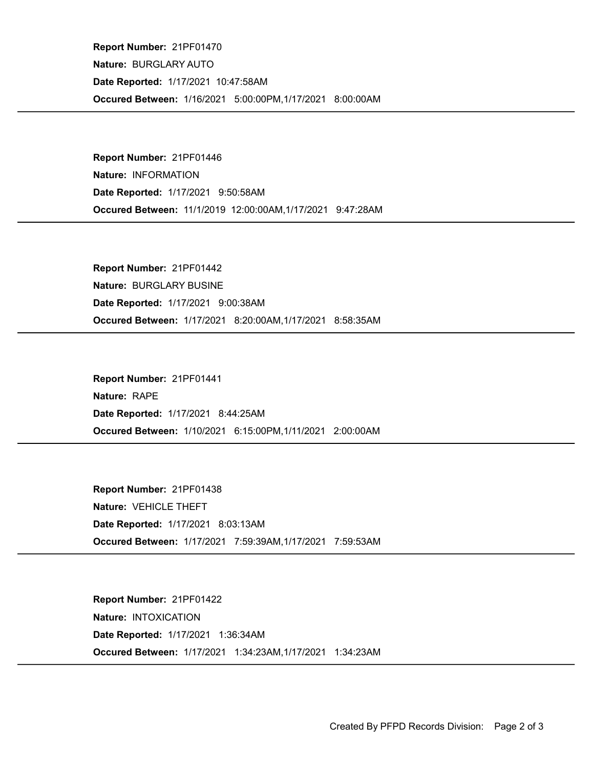Occured Between: 1/16/2021 5:00:00PM,1/17/2021 8:00:00AM Report Number: 21PF01470 Nature: BURGLARY AUTO Date Reported: 1/17/2021 10:47:58AM

Occured Between: 11/1/2019 12:00:00AM,1/17/2021 9:47:28AM Report Number: 21PF01446 Nature: INFORMATION Date Reported: 1/17/2021 9:50:58AM

Occured Between: 1/17/2021 8:20:00AM,1/17/2021 8:58:35AM Report Number: 21PF01442 Nature: BURGLARY BUSINE Date Reported: 1/17/2021 9:00:38AM

Occured Between: 1/10/2021 6:15:00PM,1/11/2021 2:00:00AM Report Number: 21PF01441 Nature: RAPE Date Reported: 1/17/2021 8:44:25AM

Occured Between: 1/17/2021 7:59:39AM,1/17/2021 7:59:53AM Report Number: 21PF01438 Nature: VEHICLE THEFT Date Reported: 1/17/2021 8:03:13AM

Occured Between: 1/17/2021 1:34:23AM,1/17/2021 1:34:23AM Report Number: 21PF01422 Nature: INTOXICATION Date Reported: 1/17/2021 1:36:34AM